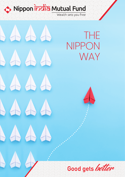Nippon incha Mutual Fund

# $AA$  $AA$  $AA$  $\Delta A$  $AA$

THE NIPPON WAY

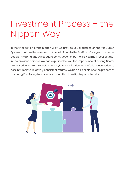## Investment Process – the Nippon Way

In the final edition of the Nippon Way, we provide you a glimpse of Analyst Output System – on how the research of Analysts flows to the Portfolio Managers, for better decision-making and subsequent construction of portfolios. You may recollect that in the previous editions, we had explained to you the importance of having Sector Limits, Active Share thresholds and Style Diversification in portfolio construction to possibly achieve relatively consistent returns. We had also explained the process of assigning Risk Rating to stocks and using that to mitigate portfolio risks.

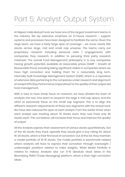### Part 5: Analyst Output System

At Nippon India Mutual Fund, we have one of the largest investment teams in the industry. We lay extensive emphasis on in-house research – support systems and processes have been designed to facilitate the same. Given the large team, we have a fairly-large span of coverage – we cover nearly 550 stocks across large, mid and small cap universe. The teams carry out proprietary research including personal visits / engagements with companies they research, in addition to perusing third party research materials. The overall Fund Management philosophy is to buy companies having growth potential, available at reasonable prices (GARP – Growth at Reasonable Price), including taking significant stakes in companies where we have high conviction and holding them for a reasonably long term. Internally-built Knowledge Management System (KMS), which is a repository of extensive data pertaining to the companies under research and alignment of analyst KPIs (Key Performance Imperatives) to the quality of their output aid fund management.

With a view to have sharp focus on research, we have divided the team of analysts into two. One team to research the large & mid cap space, and the other to exclusively focus on the small cap segment. This is to align the different research requirements of these two segments with the actual work. We have also reduced the span of each analyst. From the earlier times when each Analyst was tracking about 70 stocks each, they now track only 40 stocks each. This, we believe, will increase their focus and improve the quality of output.

All the Analysts express their assessment of various stocks quantitatively. Out of the 40 stocks they track, typically they would give a buy rating for about 15-20 stocks, which is their first level of conviction. Out of this list, they maintain a model portfolio of 10-15 stocks. The model portfolio is benchmark-related where analysts will have to express their conviction through overweight / underweight positions relative to index weights.. While Model Portfolio is relative to indices, Analysts also run 5-10 absolute stock ideas in the Bloomberg TMSG (Trade Messaging) platform, which is their high-conviction ideas.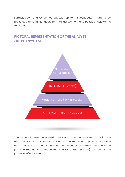Further, each analyst comes out with up to 3 Superideas, in turn, to be presented to Fund Managers for their assessment and possible inclusion in the funds.

# Superidea (2 – 3 stocks)  $TMSG(5 - 10 stocks)$ Model Portfolio (10 – 15 stocks) Stock Rating (15 – 20 stocks)

### **PICTORAL REPRESENTATION OF THE ANALYST OUTPUT SYSTEM**

The output of the model portfolio, TMSG and superideas have a direct linkage with the KPIs of the Analysts, making the entire research process objective and measurable. Stronger the research, the better the flow of research to the portfolio managers (through the Analyst Output System), the better the potential of end-results.